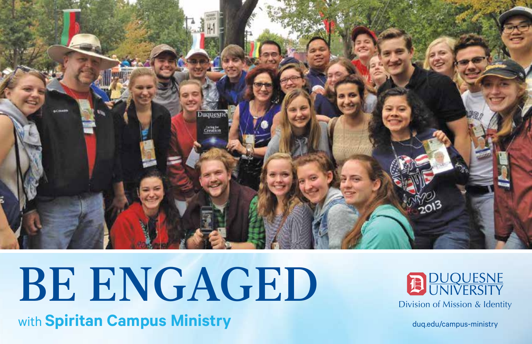

# BE ENGAGED

with **Spiritan Campus Ministry**



duq.edu/campus-ministry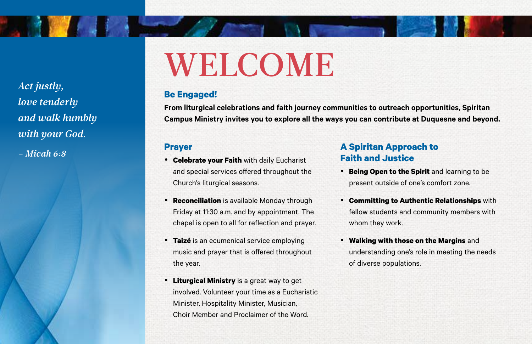*Act justly, love tenderly and walk humbly with your God.* 

**The Communication** 

*– Micah 6:8* **Prayer**

## WELCOME

#### **Be Engaged!**

**From liturgical celebrations and faith journey communities to outreach opportunities, Spiritan Campus Ministry invites you to explore all the ways you can contribute at Duquesne and beyond.** 

- • **Celebrate your Faith** with daily Eucharist and special services offered throughout the Church's liturgical seasons.
- **Reconciliation** is available Monday through Friday at 11:30 a.m. and by appointment. The chapel is open to all for reflection and prayer.
- • **Taizé** is an ecumenical service employing music and prayer that is offered throughout the year.
- • **Liturgical Ministry** is a great way to get involved. Volunteer your time as a Eucharistic Minister, Hospitality Minister, Musician, Choir Member and Proclaimer of the Word.

#### **A Spiritan Approach to Faith and Justice**

- • **Being Open to the Spirit** and learning to be present outside of one's comfort zone.
- • **Committing to Authentic Relationships** with fellow students and community members with whom they work.
- • **Walking with those on the Margins** and understanding one's role in meeting the needs of diverse populations.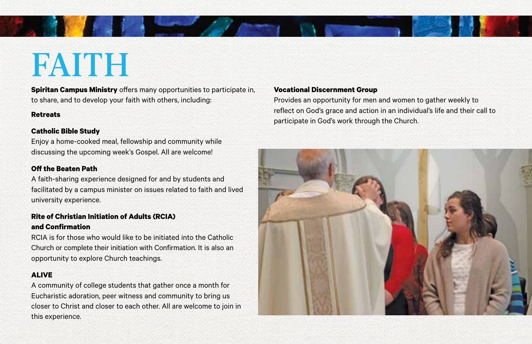### FAITH

**Spiritan Campus Ministry** offers many opportunities to participate in, to share, and to develop your faith with others, including:

#### **Retreats**

#### **Catholic Bible Study**

Enjoy a home-cooked meal, fellowship and community while discussing the upcoming week's Gospel. All are welcome!

#### **Off the Beaten Path**

A faith-sharing experience designed for and by students and facilitated by a campus minister on issues related to faith and lived university experience.

#### **Rite of Christian Initiation of Adults (RCIA) and Confirmation**

RCIA is for those who would like to be initiated into the Catholic Church or complete their initiation with Confirmation. It is also an opportunity to explore Church teachings.

#### **ALIVE**

A community of college students that gather once a month for Eucharistic adoration, peer witness and community to bring us closer to Christ and closer to each other. All are welcome to join in this experience.

#### **Vocational Discernment Group**

Provides an opportunity for men and women to gather weekly to reflect on God's grace and action in an individual's life and their call to participate in God's work through the Church.

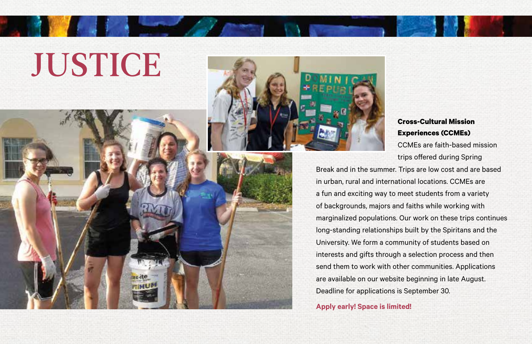## **JUSTICE**



#### **Cross-Cultural Mission Experiences (CCMEs)**

CCMEs are faith-based mission trips offered during Spring

Break and in the summer. Trips are low cost and are based in urban, rural and international locations. CCMEs are a fun and exciting way to meet students from a variety of backgrounds, majors and faiths while working with marginalized populations. Our work on these trips continues long-standing relationships built by the Spiritans and the University. We form a community of students based on interests and gifts through a selection process and then send them to work with other communities. Applications are available on our website beginning in late August. Deadline for applications is September 30.

#### **Apply early! Space is limited!**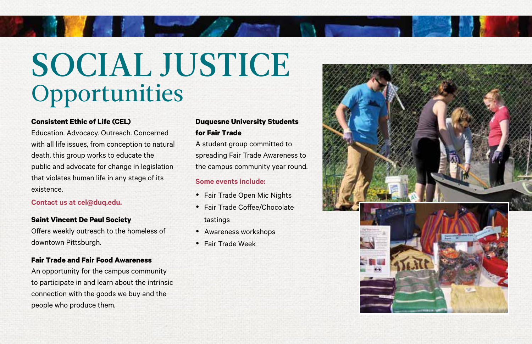### SOCIAL JUSTICE **Opportunities**

#### **Consistent Ethic of Life (CEL)**

Education. Advocacy. Outreach. Concerned with all life issues, from conception to natural death, this group works to educate the public and advocate for change in legislation that violates human life in any stage of its existence.

#### **Contact us at cel@duq.edu.**

#### **Saint Vincent De Paul Society**

Offers weekly outreach to the homeless of downtown Pittsburgh.

#### **Fair Trade and Fair Food Awareness**

An opportunity for the campus community to participate in and learn about the intrinsic connection with the goods we buy and the people who produce them.

#### **Duquesne University Students for Fair Trade**

A student group committed to spreading Fair Trade Awareness to the campus community year round.

#### **Some events include:**

- Fair Trade Open Mic Nights
- Fair Trade Coffee/Chocolate tastings
- Awareness workshops
- Fair Trade Week

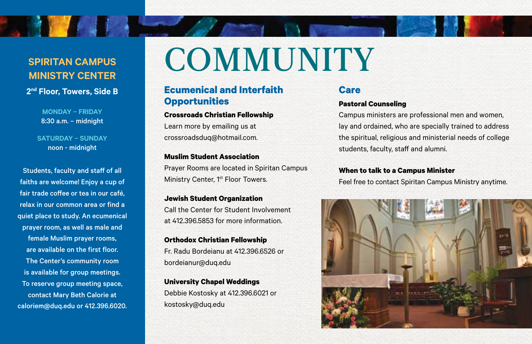#### **SPIRITAN CAMPUS MINISTRY CENTER**

**RANGE AND ADDRESS** 

**2nd Floor, Towers, Side B**

**MONDAY – FRIDAY** 8:30 a.m. – midnight

**SATURDAY – SUNDAY** noon - midnight

Students, faculty and staff of all faiths are welcome! Enjoy a cup of fair trade coffee or tea in our café, relax in our common area or find a quiet place to study. An ecumenical prayer room, as well as male and female Muslim prayer rooms, are available on the first floor. The Center's community room is available for group meetings. To reserve group meeting space, contact Mary Beth Calorie at caloriem@duq.edu or 412.396.6020.

### **COMMUNITY**

#### **Ecumenical and Interfaith Opportunities**

#### **Crossroads Christian Fellowship**

Learn more by emailing us at crossroadsduq@hotmail.com.

**Muslim Student Association** Prayer Rooms are located in Spiritan Campus Ministry Center, 1<sup>st</sup> Floor Towers.

**Jewish Student Organization** Call the Center for Student Involvement at 412.396.5853 for more information.

**Orthodox Christian Fellowship** Fr. Radu Bordeianu at 412.396.6526 or bordeianur@duq.edu

**University Chapel Weddings** Debbie Kostosky at 412.396.6021 or kostosky@duq.edu

#### **Care**

#### **Pastoral Counseling**

Campus ministers are professional men and women, lay and ordained, who are specially trained to address the spiritual, religious and ministerial needs of college students, faculty, staff and alumni.

#### **When to talk to a Campus Minister**

Feel free to contact Spiritan Campus Ministry anytime.

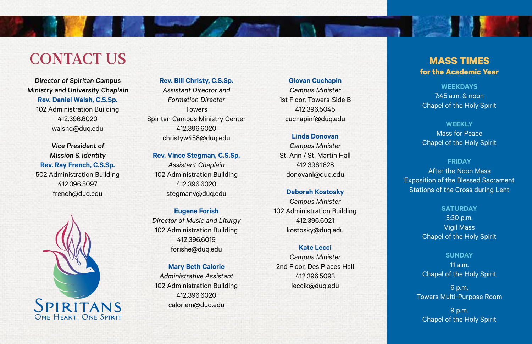### CONTACT US

Director of Spiritan Campus Ministry and University Chaplain **Rev. Daniel Walsh, C.S.Sp.** 102 Administration Building 412.396.6020 walshd@duq.edu

Vice President of Mission & Identity **Rev. Ray French, C.S.Sp.** 502 Administration Building 412.396.5097 french@duq.edu



**Rev. Bill Christy, C.S.Sp.** *Assistant Director and Formation Director* Towers Spiritan Campus Ministry Center 412.396.6020 christyw458@duq.edu

**Rev. Vince Stegman, C.S.Sp.**  *Assistant Chaplain*  102 Administration Building 412.396.6020 stegmanv@duq.edu

**Eugene Forish** *Director of Music and Liturgy* 102 Administration Building 412.396.6019 forishe@duq.edu

**Mary Beth Calorie** *Administrative Assistant* 102 Administration Building 412.396.6020 caloriem@duq.edu

#### **Giovan Cuchapin**

*Campus Minister* 1st Floor, Towers-Side B 412.396.5045 cuchapinf@duq.edu

#### **Linda Donovan**

*Campus Minister* St. Ann / St. Martin Hall 412.396.1628 donovanl@duq.edu

#### **Deborah Kostosky**

*Campus Minister* 102 Administration Building 412.396.6021 kostosky@duq.edu

#### **Kate Lecci**

*Campus Minister* 2nd Floor, Des Places Hall 412.396.5093 leccik@duq.edu

#### **MASS TIMES for the Academic Year**

, 李慧 小

**WEEKDAYS** 7:45 a.m. & noon Chapel of the Holy Spirit

#### **WEEKLY**

Mass for Peace Chapel of the Holy Spirit

**FRIDAY** After the Noon Mass Exposition of the Blessed Sacrament Stations of the Cross during Lent

> **SATURDAY** 5:30 p.m. Vigil Mass Chapel of the Holy Spirit

**SUNDAY** 11 a.m. Chapel of the Holy Spirit

6 p.m. Towers Multi-Purpose Room

9 p.m. Chapel of the Holy Spirit